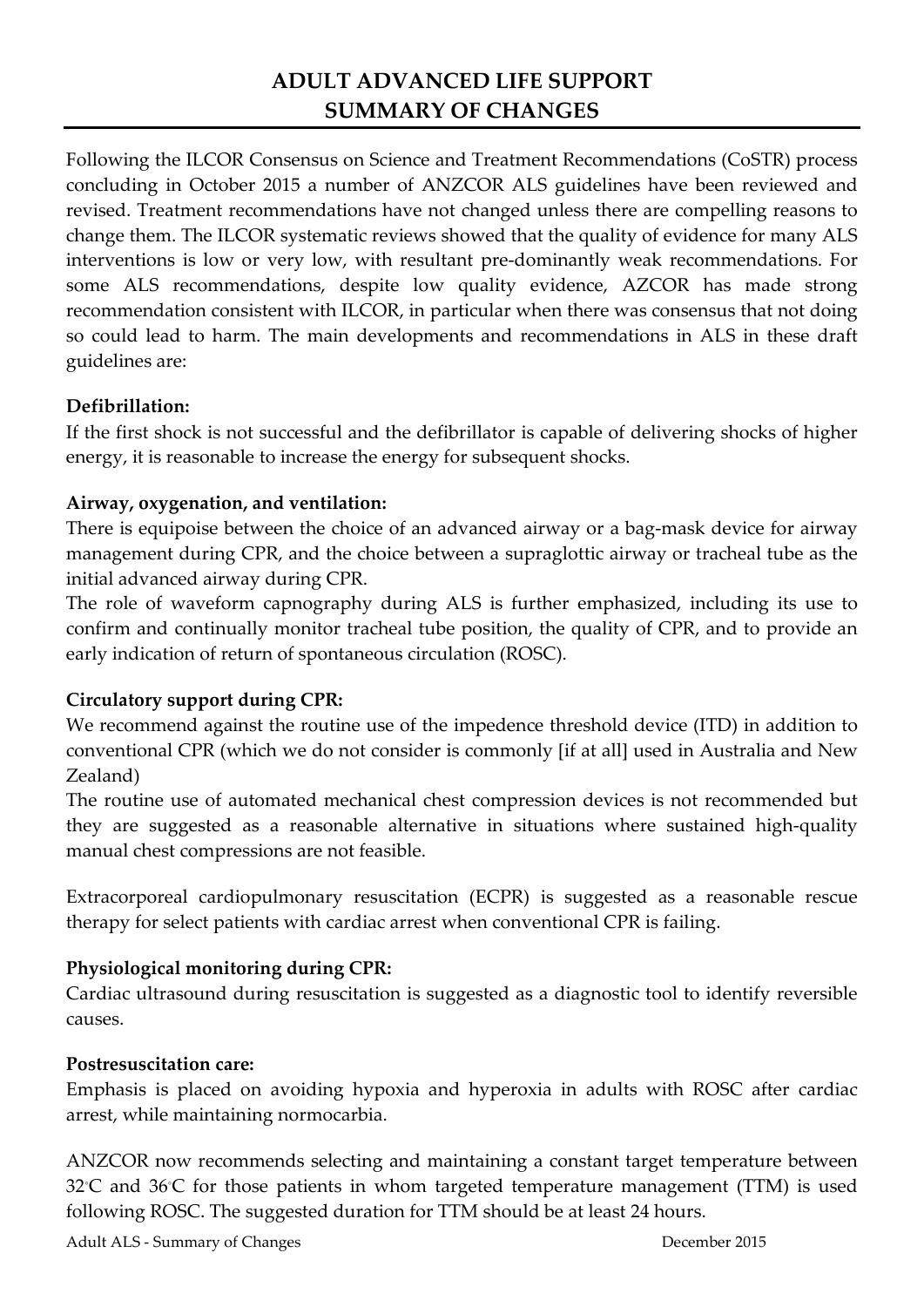# **ADULT ADVANCED LIFE SUPPORT SUMMARY OF CHANGES**

Following the ILCOR Consensus on Science and Treatment Recommendations (CoSTR) process concluding in October 2015 a number of ANZCOR ALS guidelines have been reviewed and revised. Treatment recommendations have not changed unless there are compelling reasons to change them. The ILCOR systematic reviews showed that the quality of evidence for many ALS interventions is low or very low, with resultant pre-dominantly weak recommendations. For some ALS recommendations, despite low quality evidence, AZCOR has made strong recommendation consistent with ILCOR, in particular when there was consensus that not doing so could lead to harm. The main developments and recommendations in ALS in these draft guidelines are:

## **Defibrillation:**

If the first shock is not successful and the defibrillator is capable of delivering shocks of higher energy, it is reasonable to increase the energy for subsequent shocks.

## **Airway, oxygenation, and ventilation:**

There is equipoise between the choice of an advanced airway or a bag-mask device for airway management during CPR, and the choice between a supraglottic airway or tracheal tube as the initial advanced airway during CPR.

The role of waveform capnography during ALS is further emphasized, including its use to confirm and continually monitor tracheal tube position, the quality of CPR, and to provide an early indication of return of spontaneous circulation (ROSC).

## **Circulatory support during CPR:**

We recommend against the routine use of the impedence threshold device (ITD) in addition to conventional CPR (which we do not consider is commonly [if at all] used in Australia and New Zealand)

The routine use of automated mechanical chest compression devices is not recommended but they are suggested as a reasonable alternative in situations where sustained high-quality manual chest compressions are not feasible.

Extracorporeal cardiopulmonary resuscitation (ECPR) is suggested as a reasonable rescue therapy for select patients with cardiac arrest when conventional CPR is failing.

## **Physiological monitoring during CPR:**

Cardiac ultrasound during resuscitation is suggested as a diagnostic tool to identify reversible causes.

## **Postresuscitation care:**

Emphasis is placed on avoiding hypoxia and hyperoxia in adults with ROSC after cardiac arrest, while maintaining normocarbia.

ANZCOR now recommends selecting and maintaining a constant target temperature between 32℃ and 36℃ for those patients in whom targeted temperature management (TTM) is used following ROSC. The suggested duration for TTM should be at least 24 hours.

Adult ALS - Summary of Changes December 2015